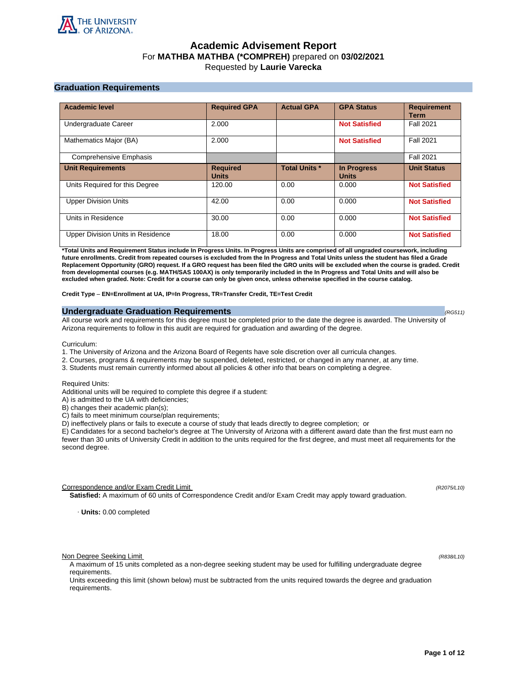

# **Academic Advisement Report** For **MATHBA MATHBA (\*COMPREH)** prepared on **03/02/2021** Requested by **Laurie Varecka**

## **Graduation Requirements**

| <b>Academic level</b>             | <b>Required GPA</b>             | <b>Actual GPA</b>    | <b>GPA Status</b>                  | <b>Requirement</b><br><b>Term</b> |
|-----------------------------------|---------------------------------|----------------------|------------------------------------|-----------------------------------|
| Undergraduate Career              | 2.000                           |                      | <b>Not Satisfied</b>               | <b>Fall 2021</b>                  |
| Mathematics Major (BA)            | 2.000                           |                      | <b>Not Satisfied</b>               | <b>Fall 2021</b>                  |
| <b>Comprehensive Emphasis</b>     |                                 |                      |                                    | <b>Fall 2021</b>                  |
| <b>Unit Requirements</b>          | <b>Required</b><br><b>Units</b> | <b>Total Units *</b> | <b>In Progress</b><br><b>Units</b> | <b>Unit Status</b>                |
| Units Required for this Degree    | 120.00                          | 0.00                 | 0.000                              | <b>Not Satisfied</b>              |
| <b>Upper Division Units</b>       | 42.00                           | 0.00                 | 0.000                              | <b>Not Satisfied</b>              |
| Units in Residence                | 30.00                           | 0.00                 | 0.000                              | <b>Not Satisfied</b>              |
| Upper Division Units in Residence | 18.00                           | 0.00                 | 0.000                              | <b>Not Satisfied</b>              |

**\*Total Units and Requirement Status include In Progress Units. In Progress Units are comprised of all ungraded coursework, including future enrollments. Credit from repeated courses is excluded from the In Progress and Total Units unless the student has filed a Grade Replacement Opportunity (GRO) request. If a GRO request has been filed the GRO units will be excluded when the course is graded. Credit from developmental courses (e.g. MATH/SAS 100AX) is only temporarily included in the In Progress and Total Units and will also be excluded when graded. Note: Credit for a course can only be given once, unless otherwise specified in the course catalog.**

**Credit Type** – **EN=Enrollment at UA, IP=In Progress, TR=Transfer Credit, TE=Test Credit**

### **Undergraduate Graduation Requirements (RG511) (RG511) (RG511) (RG511)**

All course work and requirements for this degree must be completed prior to the date the degree is awarded. The University of Arizona requirements to follow in this audit are required for graduation and awarding of the degree.

Curriculum:

- 1. The University of Arizona and the Arizona Board of Regents have sole discretion over all curricula changes.
- 2. Courses, programs & requirements may be suspended, deleted, restricted, or changed in any manner, at any time.
- 3. Students must remain currently informed about all policies & other info that bears on completing a degree.

Required Units:

Additional units will be required to complete this degree if a student:

A) is admitted to the UA with deficiencies;

B) changes their academic plan(s);

C) fails to meet minimum course/plan requirements;

D) ineffectively plans or fails to execute a course of study that leads directly to degree completion; or

E) Candidates for a second bachelor's degree at The University of Arizona with a different award date than the first must earn no fewer than 30 units of University Credit in addition to the units required for the first degree, and must meet all requirements for the second degree.

Correspondence and/or Exam Credit Limit (R2075/L10) (R2075/L10)

**Satisfied:** A maximum of 60 units of Correspondence Credit and/or Exam Credit may apply toward graduation.

· **Units:** 0.00 completed

Non Degree Seeking Limit (R838/L10)

A maximum of 15 units completed as a non-degree seeking student may be used for fulfilling undergraduate degree requirements.

Units exceeding this limit (shown below) must be subtracted from the units required towards the degree and graduation requirements.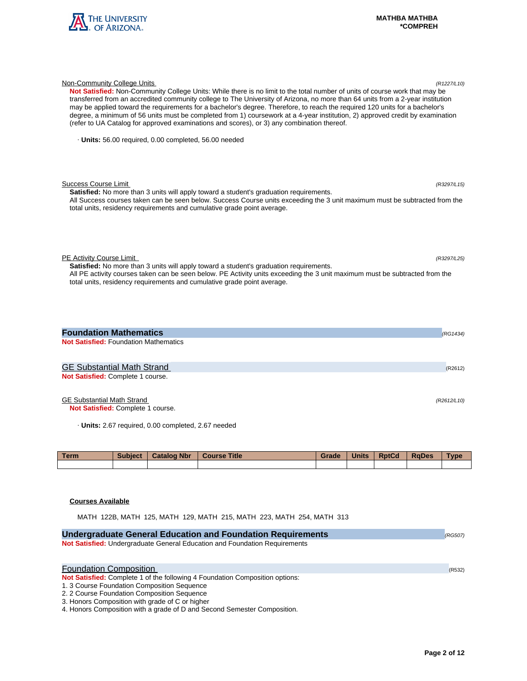

| Not Satisfied: Non-Community College Units: While there is no limit to the total number of units of course work that may be<br>transferred from an accredited community college to The University of Arizona, no more than 64 units from a 2-year institution<br>may be applied toward the requirements for a bachelor's degree. Therefore, to reach the required 120 units for a bachelor's<br>degree, a minimum of 56 units must be completed from 1) coursework at a 4-year institution, 2) approved credit by examination<br>(refer to UA Catalog for approved examinations and scores), or 3) any combination thereof. |             |
|-----------------------------------------------------------------------------------------------------------------------------------------------------------------------------------------------------------------------------------------------------------------------------------------------------------------------------------------------------------------------------------------------------------------------------------------------------------------------------------------------------------------------------------------------------------------------------------------------------------------------------|-------------|
| · Units: 56.00 required, 0.00 completed, 56.00 needed                                                                                                                                                                                                                                                                                                                                                                                                                                                                                                                                                                       |             |
| <b>Success Course Limit</b><br>Satisfied: No more than 3 units will apply toward a student's graduation requirements.<br>All Success courses taken can be seen below. Success Course units exceeding the 3 unit maximum must be subtracted from the<br>total units, residency requirements and cumulative grade point average.                                                                                                                                                                                                                                                                                              | (R3297/L15) |
| PE Activity Course Limit<br>Satisfied: No more than 3 units will apply toward a student's graduation requirements.<br>All PE activity courses taken can be seen below. PE Activity units exceeding the 3 unit maximum must be subtracted from the<br>total units, residency requirements and cumulative grade point average.                                                                                                                                                                                                                                                                                                | (R3297/L25) |
| <b>Foundation Mathematics</b><br><b>Not Satisfied: Foundation Mathematics</b>                                                                                                                                                                                                                                                                                                                                                                                                                                                                                                                                               | (RG1434)    |
| <b>GE Substantial Math Strand</b><br>Not Satisfied: Complete 1 course.                                                                                                                                                                                                                                                                                                                                                                                                                                                                                                                                                      | (R2612)     |

Non-Community College Units (R1227/L10)

GE Substantial Math Strand (R2612/L10)

**Not Satisfied:** Complete 1 course.

· **Units:** 2.67 required, 0.00 completed, 2.67 needed

| <b>Term</b> | <b>Subject</b> | <b>Catalog Nbr</b> | <b>Course Title</b> | Grade | <b>Units</b> | <b>RptCd</b> | <b>RaDes</b> | Type |
|-------------|----------------|--------------------|---------------------|-------|--------------|--------------|--------------|------|
|             |                |                    |                     |       |              |              |              |      |

## **Courses Available**

MATH 122B, MATH 125, MATH 129, MATH 215, MATH 223, MATH 254, MATH 313

| <b>Undergraduate General Education and Foundation Requirements</b>           | (RG507) |
|------------------------------------------------------------------------------|---------|
| Not Satisfied: Undergraduate General Education and Foundation Requirements   |         |
|                                                                              |         |
| <b>Foundation Composition</b>                                                |         |
|                                                                              | (R532)  |
| Not Satisfied: Complete 1 of the following 4 Foundation Composition options: |         |
| 1. 3 Course Foundation Composition Sequence                                  |         |
| 2. 2 Course Foundation Composition Sequence                                  |         |
| 3. Honors Composition with grade of C or higher                              |         |
| 4. Honors Composition with a grade of D and Second Semester Composition.     |         |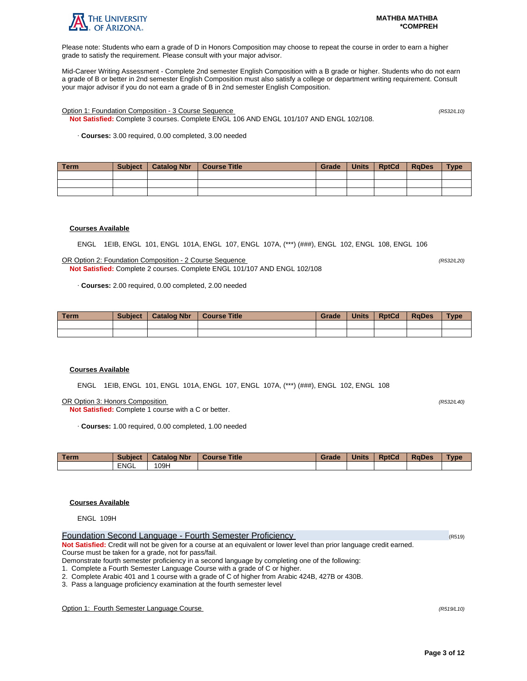

Please note: Students who earn a grade of D in Honors Composition may choose to repeat the course in order to earn a higher grade to satisfy the requirement. Please consult with your major advisor.

Mid-Career Writing Assessment - Complete 2nd semester English Composition with a B grade or higher. Students who do not earn a grade of B or better in 2nd semester English Composition must also satisfy a college or department writing requirement. Consult your major advisor if you do not earn a grade of B in 2nd semester English Composition.

Option 1: Foundation Composition - 3 Course Sequence (R532/L10)

**Not Satisfied:** Complete 3 courses. Complete ENGL 106 AND ENGL 101/107 AND ENGL 102/108.

· **Courses:** 3.00 required, 0.00 completed, 3.00 needed

| Term | <b>Subject</b> | Catalog Nbr | Course Title | Grade | Units | <b>RptCd</b> | <b>RaDes</b> | <b>Type</b> |
|------|----------------|-------------|--------------|-------|-------|--------------|--------------|-------------|
|      |                |             |              |       |       |              |              |             |
|      |                |             |              |       |       |              |              |             |
|      |                |             |              |       |       |              |              |             |

### **Courses Available**

ENGL 1EIB, ENGL 101, ENGL 101A, ENGL 107, ENGL 107A, (\*\*\*) (###), ENGL 102, ENGL 108, ENGL 106

OR Option 2: Foundation Composition - 2 Course Sequence (R532/L20) **Not Satisfied:** Complete 2 courses. Complete ENGL 101/107 AND ENGL 102/108

· **Courses:** 2.00 required, 0.00 completed, 2.00 needed

| Term | <b>Subject</b> | <b>Catalog Nbr</b> | <b>Course Title</b> | Grade | <b>Units</b> | <b>RptCd</b> | <b>RaDes</b> | <b>Type</b> |
|------|----------------|--------------------|---------------------|-------|--------------|--------------|--------------|-------------|
|      |                |                    |                     |       |              |              |              |             |
|      |                |                    |                     |       |              |              |              |             |

#### **Courses Available**

ENGL 1EIB, ENGL 101, ENGL 101A, ENGL 107, ENGL 107A, (\*\*\*) (###), ENGL 102, ENGL 108

OR Option 3: Honors Composition (R532/L40)

**Not Satisfied:** Complete 1 course with a C or better.

· **Courses:** 1.00 required, 0.00 completed, 1.00 needed

| <b>Term</b> | <b>Subject</b> | <b>Catalog Nbr</b> | <b>Course Title</b> | Grade | <b>Units</b> | <b>RptCd</b> | <b>RaDes</b> | <b>Type</b> |
|-------------|----------------|--------------------|---------------------|-------|--------------|--------------|--------------|-------------|
|             | <b>ENGL</b>    | 09H                |                     |       |              |              |              |             |

## **Courses Available**

ENGL 109H

| Foundation Second Language - Fourth Semester Proficiency                                                                | (R519) |
|-------------------------------------------------------------------------------------------------------------------------|--------|
| Not Satisfied: Credit will not be given for a course at an equivalent or lower level than prior language credit earned. |        |
| Course must be taken for a grade, not for pass/fail.                                                                    |        |
| Demonstrate fourth semester proficiency in a second language by completing one of the following:                        |        |
|                                                                                                                         |        |

1. Complete a Fourth Semester Language Course with a grade of C or higher.

2. Complete Arabic 401 and 1 course with a grade of C of higher from Arabic 424B, 427B or 430B.

3. Pass a language proficiency examination at the fourth semester level

Option 1: Fourth Semester Language Course (R519/L10)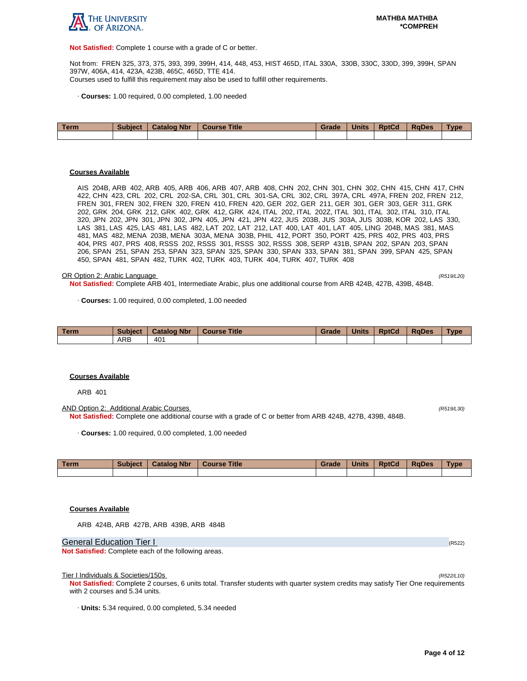

**Not Satisfied:** Complete 1 course with a grade of C or better.

Not from: FREN 325, 373, 375, 393, 399, 399H, 414, 448, 453, HIST 465D, ITAL 330A, 330B, 330C, 330D, 399, 399H, SPAN 397W, 406A, 414, 423A, 423B, 465C, 465D, TTE 414. Courses used to fulfill this requirement may also be used to fulfill other requirements.

· **Courses:** 1.00 required, 0.00 completed, 1.00 needed

| Term | <b>Subject</b> | <b>Catalog Nbr</b> | Course Title | Grade | <b>Units</b> | <b>RptCd</b> | <b>RaDes</b> | <b>Type</b> |
|------|----------------|--------------------|--------------|-------|--------------|--------------|--------------|-------------|
|      |                |                    |              |       |              |              |              |             |

#### **Courses Available**

AIS 204B, ARB 402, ARB 405, ARB 406, ARB 407, ARB 408, CHN 202, CHN 301, CHN 302, CHN 415, CHN 417, CHN 422, CHN 423, CRL 202, CRL 202-SA, CRL 301, CRL 301-SA, CRL 302, CRL 397A, CRL 497A, FREN 202, FREN 212, FREN 301, FREN 302, FREN 320, FREN 410, FREN 420, GER 202, GER 211, GER 301, GER 303, GER 311, GRK 202, GRK 204, GRK 212, GRK 402, GRK 412, GRK 424, ITAL 202, ITAL 202Z, ITAL 301, ITAL 302, ITAL 310, ITAL 320, JPN 202, JPN 301, JPN 302, JPN 405, JPN 421, JPN 422, JUS 203B, JUS 303A, JUS 303B, KOR 202, LAS 330, LAS 381, LAS 425, LAS 481, LAS 482, LAT 202, LAT 212, LAT 400, LAT 401, LAT 405, LING 204B, MAS 381, MAS 481, MAS 482, MENA 203B, MENA 303A, MENA 303B, PHIL 412, PORT 350, PORT 425, PRS 402, PRS 403, PRS 404, PRS 407, PRS 408, RSSS 202, RSSS 301, RSSS 302, RSSS 308, SERP 431B, SPAN 202, SPAN 203, SPAN 206, SPAN 251, SPAN 253, SPAN 323, SPAN 325, SPAN 330, SPAN 333, SPAN 381, SPAN 399, SPAN 425, SPAN 450, SPAN 481, SPAN 482, TURK 402, TURK 403, TURK 404, TURK 407, TURK 408

#### OR Option 2: Arabic Language (R519/L20)

**Not Satisfied:** Complete ARB 401, Intermediate Arabic, plus one additional course from ARB 424B, 427B, 439B, 484B.

· **Courses:** 1.00 required, 0.00 completed, 1.00 needed

| Term | <b>Subject</b> | <b>Catalog Nbr</b> | <b>Course Title</b> | Grade | <b>Units</b> | <b>RptCd</b> | <b>RaDes</b> | <b>Type</b> |
|------|----------------|--------------------|---------------------|-------|--------------|--------------|--------------|-------------|
|      | ARB            | 40 <sup>1</sup>    |                     |       |              |              |              |             |

#### **Courses Available**

ARB 401

AND Option 2: Additional Arabic Courses (R519/L30) **Not Satisfied:** Complete one additional course with a grade of C or better from ARB 424B, 427B, 439B, 484B.

· **Courses:** 1.00 required, 0.00 completed, 1.00 needed

| Term | <b>Subject</b> | <b>Catalog Nbr</b> | Course Title | Grade | <b>Units</b> | <b>RptCd</b> | <b>RaDes</b> | Type |
|------|----------------|--------------------|--------------|-------|--------------|--------------|--------------|------|
|      |                |                    |              |       |              |              |              |      |

## **Courses Available**

ARB 424B, ARB 427B, ARB 439B, ARB 484B

General Education Tier I (R522) (R522)

**Not Satisfied:** Complete each of the following areas.

Tier I Individuals & Societies/150s

**Not Satisfied:** Complete 2 courses, 6 units total. Transfer students with quarter system credits may satisfy Tier One requirements with 2 courses and 5.34 units.

· **Units:** 5.34 required, 0.00 completed, 5.34 needed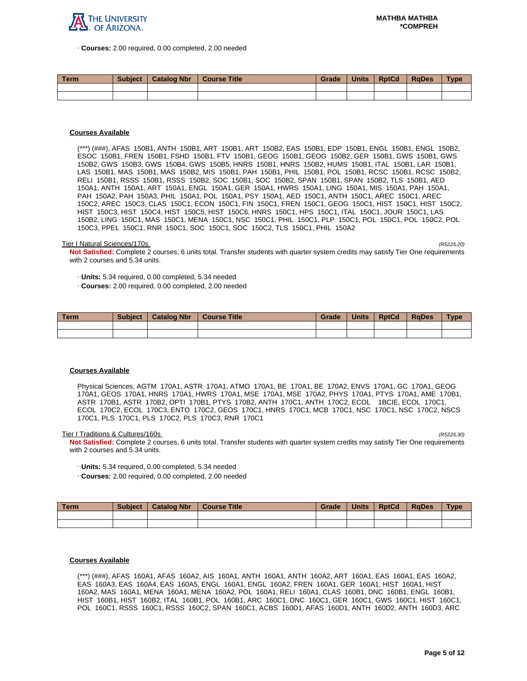

· **Courses:** 2.00 required, 0.00 completed, 2.00 needed

| <b>Term</b> | <b>Subject</b> | <b>Catalog Nbr</b> | <b>Course Title</b> | Grade | <b>Units</b> | <b>RptCd</b> | RaDes | <b>Type</b> |
|-------------|----------------|--------------------|---------------------|-------|--------------|--------------|-------|-------------|
|             |                |                    |                     |       |              |              |       |             |
|             |                |                    |                     |       |              |              |       |             |

## **Courses Available**

(\*\*\*) (###), AFAS 150B1, ANTH 150B1, ART 150B1, ART 150B2, EAS 150B1, EDP 150B1, ENGL 150B1, ENGL 150B2, ESOC 150B1, FREN 150B1, FSHD 150B1, FTV 150B1, GEOG 150B1, GEOG 150B2, GER 150B1, GWS 150B1, GWS 150B2, GWS 150B3, GWS 150B4, GWS 150B5, HNRS 150B1, HNRS 150B2, HUMS 150B1, ITAL 150B1, LAR 150B1, LAS 150B1, MAS 150B1, MAS 150B2, MIS 150B1, PAH 150B1, PHIL 150B1, POL 150B1, RCSC 150B1, RCSC 150B2, RELI 150B1, RSSS 150B1, RSSS 150B2, SOC 150B1, SOC 150B2, SPAN 150B1, SPAN 150B2, TLS 150B1, AED 150A1, ANTH 150A1, ART 150A1, ENGL 150A1, GER 150A1, HWRS 150A1, LING 150A1, MIS 150A1, PAH 150A1, PAH 150A2, PAH 150A3, PHIL 150A1, POL 150A1, PSY 150A1, AED 150C1, ANTH 150C1, AREC 150C1, AREC 150C2, AREC 150C3, CLAS 150C1, ECON 150C1, FIN 150C1, FREN 150C1, GEOG 150C1, HIST 150C1, HIST 150C2, HIST 150C3, HIST 150C4, HIST 150C5, HIST 150C6, HNRS 150C1, HPS 150C1, ITAL 150C1, JOUR 150C1, LAS 150B2, LING 150C1, MAS 150C1, MENA 150C1, NSC 150C1, PHIL 150C1, PLP 150C1, POL 150C1, POL 150C2, POL 150C3, PPEL 150C1, RNR 150C1, SOC 150C1, SOC 150C2, TLS 150C1, PHIL 150A2

#### Tier I Natural Sciences/170s (R522/L20)

**Not Satisfied:** Complete 2 courses, 6 units total. Transfer students with quarter system credits may satisfy Tier One requirements with 2 courses and 5.34 units.

· **Units:** 5.34 required, 0.00 completed, 5.34 needed

· **Courses:** 2.00 required, 0.00 completed, 2.00 needed

| ∣ Term | <b>Subject</b> | <b>Catalog Nbr</b> | <b>Course Title</b> | Grade | <b>Units</b> | <b>RptCd</b> | <b>RaDes</b> | <b>Type</b> |
|--------|----------------|--------------------|---------------------|-------|--------------|--------------|--------------|-------------|
|        |                |                    |                     |       |              |              |              |             |
|        |                |                    |                     |       |              |              |              |             |

#### **Courses Available**

Physical Sciences, AGTM 170A1, ASTR 170A1, ATMO 170A1, BE 170A1, BE 170A2, ENVS 170A1, GC 170A1, GEOG 170A1, GEOS 170A1, HNRS 170A1, HWRS 170A1, MSE 170A1, MSE 170A2, PHYS 170A1, PTYS 170A1, AME 170B1, ASTR 170B1, ASTR 170B2, OPTI 170B1, PTYS 170B2, ANTH 170C1, ANTH 170C2, ECOL 1BCIE, ECOL 170C1, ECOL 170C2, ECOL 170C3, ENTO 170C2, GEOS 170C1, HNRS 170C1, MCB 170C1, NSC 170C1, NSC 170C2, NSCS 170C1, PLS 170C1, PLS 170C2, PLS 170C3, RNR 170C1

Tier I Traditions & Cultures/160s

**Not Satisfied:** Complete 2 courses, 6 units total. Transfer students with quarter system credits may satisfy Tier One requirements with 2 courses and 5.34 units.

- · **Units:** 5.34 required, 0.00 completed, 5.34 needed
- · **Courses:** 2.00 required, 0.00 completed, 2.00 needed

| Term. | <b>Subject</b> | <b>Catalog Nbr</b> | Course Title | Grade | <b>Units</b> | <b>RptCd</b> | RaDes | <b>Type</b> |
|-------|----------------|--------------------|--------------|-------|--------------|--------------|-------|-------------|
|       |                |                    |              |       |              |              |       |             |
|       |                |                    |              |       |              |              |       |             |

#### **Courses Available**

(\*\*\*) (###), AFAS 160A1, AFAS 160A2, AIS 160A1, ANTH 160A1, ANTH 160A2, ART 160A1, EAS 160A1, EAS 160A2, EAS 160A3, EAS 160A4, EAS 160A5, ENGL 160A1, ENGL 160A2, FREN 160A1, GER 160A1, HIST 160A1, HIST 160A2, MAS 160A1, MENA 160A1, MENA 160A2, POL 160A1, RELI 160A1, CLAS 160B1, DNC 160B1, ENGL 160B1, HIST 160B1, HIST 160B2, ITAL 160B1, POL 160B1, ARC 160C1, DNC 160C1, GER 160C1, GWS 160C1, HIST 160C1, POL 160C1, RSSS 160C1, RSSS 160C2, SPAN 160C1, ACBS 160D1, AFAS 160D1, ANTH 160D2, ANTH 160D3, ARC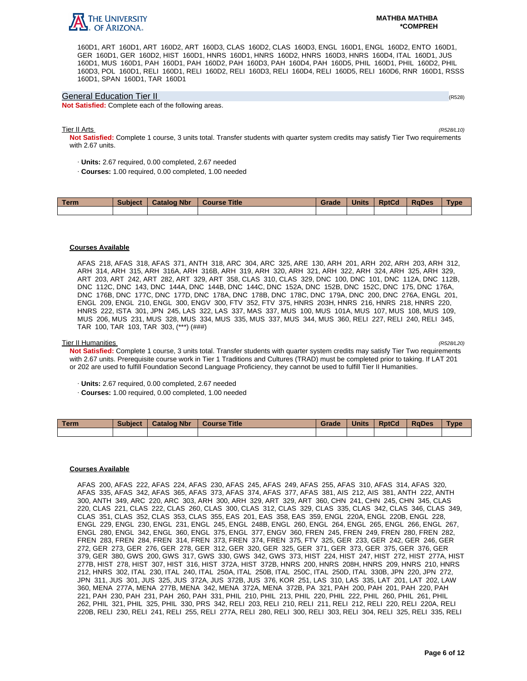

160D1, ART 160D1, ART 160D2, ART 160D3, CLAS 160D2, CLAS 160D3, ENGL 160D1, ENGL 160D2, ENTO 160D1, GER 160D1, GER 160D2, HIST 160D1, HNRS 160D1, HNRS 160D2, HNRS 160D3, HNRS 160D4, ITAL 160D1, JUS 160D1, MUS 160D1, PAH 160D1, PAH 160D2, PAH 160D3, PAH 160D4, PAH 160D5, PHIL 160D1, PHIL 160D2, PHIL 160D3, POL 160D1, RELI 160D1, RELI 160D2, RELI 160D3, RELI 160D4, RELI 160D5, RELI 160D6, RNR 160D1, RSSS 160D1, SPAN 160D1, TAR 160D1

### General Education Tier II (R528)

**Not Satisfied:** Complete each of the following areas.

#### Tier II Arts (R528/L10)

**Not Satisfied:** Complete 1 course, 3 units total. Transfer students with quarter system credits may satisfy Tier Two requirements with 2.67 units.

- · **Units:** 2.67 required, 0.00 completed, 2.67 needed
- · **Courses:** 1.00 required, 0.00 completed, 1.00 needed

| Term | <b>Subject</b> | <b>Catalog Nbr</b> | <b>Course Title</b> | Grade | <b>Units</b> | <b>RptCd</b> | <b>RaDes</b> | Type |
|------|----------------|--------------------|---------------------|-------|--------------|--------------|--------------|------|
|      |                |                    |                     |       |              |              |              |      |

### **Courses Available**

AFAS 218, AFAS 318, AFAS 371, ANTH 318, ARC 304, ARC 325, ARE 130, ARH 201, ARH 202, ARH 203, ARH 312, ARH 314, ARH 315, ARH 316A, ARH 316B, ARH 319, ARH 320, ARH 321, ARH 322, ARH 324, ARH 325, ARH 329, ART 203, ART 242, ART 282, ART 329, ART 358, CLAS 310, CLAS 329, DNC 100, DNC 101, DNC 112A, DNC 112B, DNC 112C, DNC 143, DNC 144A, DNC 144B, DNC 144C, DNC 152A, DNC 152B, DNC 152C, DNC 175, DNC 176A, DNC 176B, DNC 177C, DNC 177D, DNC 178A, DNC 178B, DNC 178C, DNC 179A, DNC 200, DNC 276A, ENGL 201, ENGL 209, ENGL 210, ENGL 300, ENGV 300, FTV 352, FTV 375, HNRS 203H, HNRS 216, HNRS 218, HNRS 220, HNRS 222, ISTA 301, JPN 245, LAS 322, LAS 337, MAS 337, MUS 100, MUS 101A, MUS 107, MUS 108, MUS 109, MUS 206, MUS 231, MUS 328, MUS 334, MUS 335, MUS 337, MUS 344, MUS 360, RELI 227, RELI 240, RELI 345, TAR 100, TAR 103, TAR 303, (\*\*\*) (###)

### Tier II Humanities (R528/L20)

**Not Satisfied:** Complete 1 course, 3 units total. Transfer students with quarter system credits may satisfy Tier Two requirements with 2.67 units. Prerequisite course work in Tier 1 Traditions and Cultures (TRAD) must be completed prior to taking. If LAT 201 or 202 are used to fulfill Foundation Second Language Proficiency, they cannot be used to fulfill Tier II Humanities.

- · **Units:** 2.67 required, 0.00 completed, 2.67 needed
- · **Courses:** 1.00 required, 0.00 completed, 1.00 needed

| <b>Term</b> | <b>Subject</b> | <b>Catalog Nbr</b> | <b>Course Title</b> | Grade | <b>Units</b> | <b>RptCd</b> | <b>RaDes</b> | Type |
|-------------|----------------|--------------------|---------------------|-------|--------------|--------------|--------------|------|
|             |                |                    |                     |       |              |              |              |      |

#### **Courses Available**

AFAS 200, AFAS 222, AFAS 224, AFAS 230, AFAS 245, AFAS 249, AFAS 255, AFAS 310, AFAS 314, AFAS 320, AFAS 335, AFAS 342, AFAS 365, AFAS 373, AFAS 374, AFAS 377, AFAS 381, AIS 212, AIS 381, ANTH 222, ANTH 300, ANTH 349, ARC 220, ARC 303, ARH 300, ARH 329, ART 329, ART 360, CHN 241, CHN 245, CHN 345, CLAS 220, CLAS 221, CLAS 222, CLAS 260, CLAS 300, CLAS 312, CLAS 329, CLAS 335, CLAS 342, CLAS 346, CLAS 349, CLAS 351, CLAS 352, CLAS 353, CLAS 355, EAS 201, EAS 358, EAS 359, ENGL 220A, ENGL 220B, ENGL 228, ENGL 229, ENGL 230, ENGL 231, ENGL 245, ENGL 248B, ENGL 260, ENGL 264, ENGL 265, ENGL 266, ENGL 267, ENGL 280, ENGL 342, ENGL 360, ENGL 375, ENGL 377, ENGV 360, FREN 245, FREN 249, FREN 280, FREN 282, FREN 283, FREN 284, FREN 314, FREN 373, FREN 374, FREN 375, FTV 325, GER 233, GER 242, GER 246, GER 272, GER 273, GER 276, GER 278, GER 312, GER 320, GER 325, GER 371, GER 373, GER 375, GER 376, GER 379, GER 380, GWS 200, GWS 317, GWS 330, GWS 342, GWS 373, HIST 224, HIST 247, HIST 272, HIST 277A, HIST 277B, HIST 278, HIST 307, HIST 316, HIST 372A, HIST 372B, HNRS 200, HNRS 208H, HNRS 209, HNRS 210, HNRS 212, HNRS 302, ITAL 230, ITAL 240, ITAL 250A, ITAL 250B, ITAL 250C, ITAL 250D, ITAL 330B, JPN 220, JPN 272, JPN 311, JUS 301, JUS 325, JUS 372A, JUS 372B, JUS 376, KOR 251, LAS 310, LAS 335, LAT 201, LAT 202, LAW 360, MENA 277A, MENA 277B, MENA 342, MENA 372A, MENA 372B, PA 321, PAH 200, PAH 201, PAH 220, PAH 221, PAH 230, PAH 231, PAH 260, PAH 331, PHIL 210, PHIL 213, PHIL 220, PHIL 222, PHIL 260, PHIL 261, PHIL 262, PHIL 321, PHIL 325, PHIL 330, PRS 342, RELI 203, RELI 210, RELI 211, RELI 212, RELI 220, RELI 220A, RELI 220B, RELI 230, RELI 241, RELI 255, RELI 277A, RELI 280, RELI 300, RELI 303, RELI 304, RELI 325, RELI 335, RELI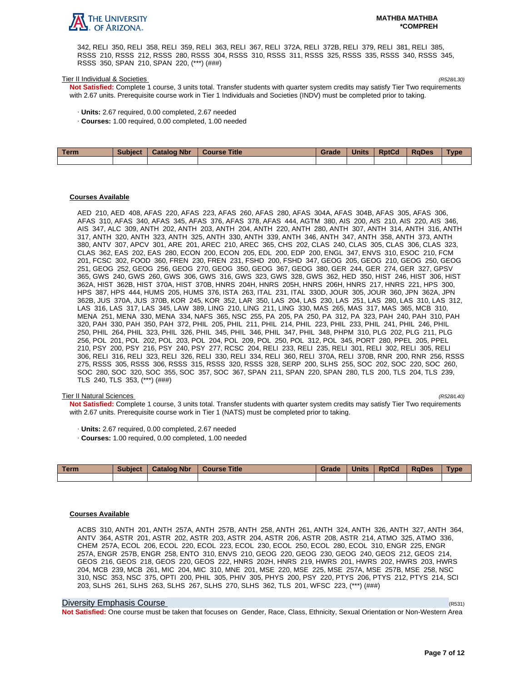

342, RELI 350, RELI 358, RELI 359, RELI 363, RELI 367, RELI 372A, RELI 372B, RELI 379, RELI 381, RELI 385, RSSS 210, RSSS 212, RSSS 280, RSSS 304, RSSS 310, RSSS 311, RSSS 325, RSSS 335, RSSS 340, RSSS 345, RSSS 350, SPAN 210, SPAN 220, (\*\*\*) (###)

#### Tier II Individual & Societies (R528/L30)

**Not Satisfied:** Complete 1 course, 3 units total. Transfer students with quarter system credits may satisfy Tier Two requirements with 2.67 units. Prerequisite course work in Tier 1 Individuals and Societies (INDV) must be completed prior to taking.

- · **Units:** 2.67 required, 0.00 completed, 2.67 needed
- · **Courses:** 1.00 required, 0.00 completed, 1.00 needed

| Term | Subject   Catalog Nbr | Course Title | Grade | <b>Units</b> | <b>RptCd</b> | <b>RaDes</b> | <b>Type</b> |
|------|-----------------------|--------------|-------|--------------|--------------|--------------|-------------|
|      |                       |              |       |              |              |              |             |

#### **Courses Available**

AED 210, AED 408, AFAS 220, AFAS 223, AFAS 260, AFAS 280, AFAS 304A, AFAS 304B, AFAS 305, AFAS 306, AFAS 310, AFAS 340, AFAS 345, AFAS 376, AFAS 378, AFAS 444, AGTM 380, AIS 200, AIS 210, AIS 220, AIS 346, AIS 347, ALC 309, ANTH 202, ANTH 203, ANTH 204, ANTH 220, ANTH 280, ANTH 307, ANTH 314, ANTH 316, ANTH 317, ANTH 320, ANTH 323, ANTH 325, ANTH 330, ANTH 339, ANTH 346, ANTH 347, ANTH 358, ANTH 373, ANTH 380, ANTV 307, APCV 301, ARE 201, AREC 210, AREC 365, CHS 202, CLAS 240, CLAS 305, CLAS 306, CLAS 323, CLAS 362, EAS 202, EAS 280, ECON 200, ECON 205, EDL 200, EDP 200, ENGL 347, ENVS 310, ESOC 210, FCM 201, FCSC 302, FOOD 360, FREN 230, FREN 231, FSHD 200, FSHD 347, GEOG 205, GEOG 210, GEOG 250, GEOG 251, GEOG 252, GEOG 256, GEOG 270, GEOG 350, GEOG 367, GEOG 380, GER 244, GER 274, GER 327, GPSV 365, GWS 240, GWS 260, GWS 306, GWS 316, GWS 323, GWS 328, GWS 362, HED 350, HIST 246, HIST 306, HIST 362A, HIST 362B, HIST 370A, HIST 370B, HNRS 204H, HNRS 205H, HNRS 206H, HNRS 217, HNRS 221, HPS 300, HPS 387, HPS 444, HUMS 205, HUMS 376, ISTA 263, ITAL 231, ITAL 330D, JOUR 305, JOUR 360, JPN 362A, JPN 362B, JUS 370A, JUS 370B, KOR 245, KOR 352, LAR 350, LAS 204, LAS 230, LAS 251, LAS 280, LAS 310, LAS 312, LAS 316, LAS 317, LAS 345, LAW 389, LING 210, LING 211, LING 330, MAS 265, MAS 317, MAS 365, MCB 310, MENA 251, MENA 330, MENA 334, NAFS 365, NSC 255, PA 205, PA 250, PA 312, PA 323, PAH 240, PAH 310, PAH 320, PAH 330, PAH 350, PAH 372, PHIL 205, PHIL 211, PHIL 214, PHIL 223, PHIL 233, PHIL 241, PHIL 246, PHIL 250, PHIL 264, PHIL 323, PHIL 326, PHIL 345, PHIL 346, PHIL 347, PHIL 348, PHPM 310, PLG 202, PLG 211, PLG 256, POL 201, POL 202, POL 203, POL 204, POL 209, POL 250, POL 312, POL 345, PORT 280, PPEL 205, PPEL 210, PSY 200, PSY 216, PSY 240, PSY 277, RCSC 204, RELI 233, RELI 235, RELI 301, RELI 302, RELI 305, RELI 306, RELI 316, RELI 323, RELI 326, RELI 330, RELI 334, RELI 360, RELI 370A, RELI 370B, RNR 200, RNR 256, RSSS 275, RSSS 305, RSSS 306, RSSS 315, RSSS 320, RSSS 328, SERP 200, SLHS 255, SOC 202, SOC 220, SOC 260, SOC 280, SOC 320, SOC 355, SOC 357, SOC 367, SPAN 211, SPAN 220, SPAN 280, TLS 200, TLS 204, TLS 239, TLS 240, TLS 353, (\*\*\*) (###)

#### Tier II Natural Sciences (R528/L40)

**Not Satisfied:** Complete 1 course, 3 units total. Transfer students with quarter system credits may satisfy Tier Two requirements with 2.67 units. Prerequisite course work in Tier 1 (NATS) must be completed prior to taking.

- · **Units:** 2.67 required, 0.00 completed, 2.67 needed
- · **Courses:** 1.00 required, 0.00 completed, 1.00 needed

| Term | <b>Subject</b> | <b>Catalog Nbr</b> | <b>Course Title</b> | Grade | Units | <b>RptCd</b> | <b>RaDes</b> | <b>Type</b> |
|------|----------------|--------------------|---------------------|-------|-------|--------------|--------------|-------------|
|      |                |                    |                     |       |       |              |              |             |

#### **Courses Available**

ACBS 310, ANTH 201, ANTH 257A, ANTH 257B, ANTH 258, ANTH 261, ANTH 324, ANTH 326, ANTH 327, ANTH 364, ANTV 364, ASTR 201, ASTR 202, ASTR 203, ASTR 204, ASTR 206, ASTR 208, ASTR 214, ATMO 325, ATMO 336, CHEM 257A, ECOL 206, ECOL 220, ECOL 223, ECOL 230, ECOL 250, ECOL 280, ECOL 310, ENGR 225, ENGR 257A, ENGR 257B, ENGR 258, ENTO 310, ENVS 210, GEOG 220, GEOG 230, GEOG 240, GEOS 212, GEOS 214, GEOS 216, GEOS 218, GEOS 220, GEOS 222, HNRS 202H, HNRS 219, HWRS 201, HWRS 202, HWRS 203, HWRS 204, MCB 239, MCB 261, MIC 204, MIC 310, MNE 201, MSE 220, MSE 225, MSE 257A, MSE 257B, MSE 258, NSC 310, NSC 353, NSC 375, OPTI 200, PHIL 305, PHIV 305, PHYS 200, PSY 220, PTYS 206, PTYS 212, PTYS 214, SCI 203, SLHS 261, SLHS 263, SLHS 267, SLHS 270, SLHS 362, TLS 201, WFSC 223, (\*\*\*) (###)

#### Diversity Emphasis Course (R531)

**Not Satisfied:** One course must be taken that focuses on Gender, Race, Class, Ethnicity, Sexual Orientation or Non-Western Area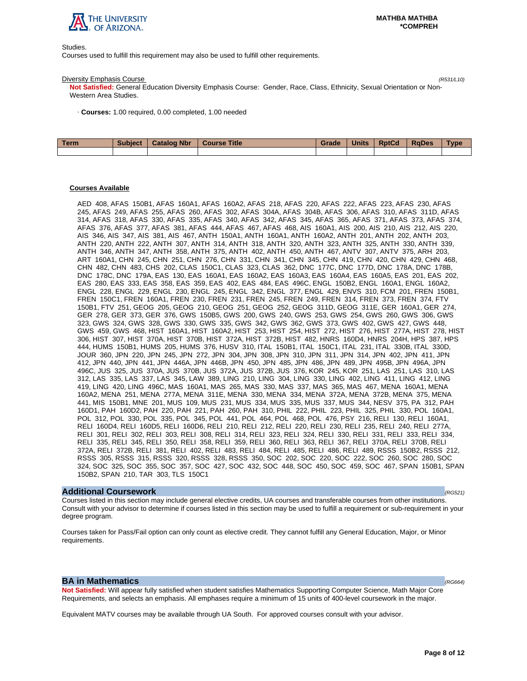

Studies.

Courses used to fulfill this requirement may also be used to fulfill other requirements.

#### Diversity Emphasis Course (R531/L10)

**Not Satisfied:** General Education Diversity Emphasis Course: Gender, Race, Class, Ethnicity, Sexual Orientation or Non-Western Area Studies.

· **Courses:** 1.00 required, 0.00 completed, 1.00 needed

| <b>Term</b> | <b>Subject</b> | <b>Catalog Nbr</b> | Course Title | Grade | <b>Units</b> | <b>RptCd</b> | RaDes | <b>Type</b> |
|-------------|----------------|--------------------|--------------|-------|--------------|--------------|-------|-------------|
|             |                |                    |              |       |              |              |       |             |

## **Courses Available**

AED 408, AFAS 150B1, AFAS 160A1, AFAS 160A2, AFAS 218, AFAS 220, AFAS 222, AFAS 223, AFAS 230, AFAS 245, AFAS 249, AFAS 255, AFAS 260, AFAS 302, AFAS 304A, AFAS 304B, AFAS 306, AFAS 310, AFAS 311D, AFAS 314, AFAS 318, AFAS 330, AFAS 335, AFAS 340, AFAS 342, AFAS 345, AFAS 365, AFAS 371, AFAS 373, AFAS 374, AFAS 376, AFAS 377, AFAS 381, AFAS 444, AFAS 467, AFAS 468, AIS 160A1, AIS 200, AIS 210, AIS 212, AIS 220, AIS 346, AIS 347, AIS 381, AIS 467, ANTH 150A1, ANTH 160A1, ANTH 160A2, ANTH 201, ANTH 202, ANTH 203, ANTH 220, ANTH 222, ANTH 307, ANTH 314, ANTH 318, ANTH 320, ANTH 323, ANTH 325, ANTH 330, ANTH 339, ANTH 346, ANTH 347, ANTH 358, ANTH 375, ANTH 402, ANTH 450, ANTH 467, ANTV 307, ANTV 375, ARH 203, ART 160A1, CHN 245, CHN 251, CHN 276, CHN 331, CHN 341, CHN 345, CHN 419, CHN 420, CHN 429, CHN 468, CHN 482, CHN 483, CHS 202, CLAS 150C1, CLAS 323, CLAS 362, DNC 177C, DNC 177D, DNC 178A, DNC 178B, DNC 178C, DNC 179A, EAS 130, EAS 160A1, EAS 160A2, EAS 160A3, EAS 160A4, EAS 160A5, EAS 201, EAS 202, EAS 280, EAS 333, EAS 358, EAS 359, EAS 402, EAS 484, EAS 496C, ENGL 150B2, ENGL 160A1, ENGL 160A2, ENGL 228, ENGL 229, ENGL 230, ENGL 245, ENGL 342, ENGL 377, ENGL 429, ENVS 310, FCM 201, FREN 150B1, FREN 150C1, FREN 160A1, FREN 230, FREN 231, FREN 245, FREN 249, FREN 314, FREN 373, FREN 374, FTV 150B1, FTV 251, GEOG 205, GEOG 210, GEOG 251, GEOG 252, GEOG 311D, GEOG 311E, GER 160A1, GER 274, GER 278, GER 373, GER 376, GWS 150B5, GWS 200, GWS 240, GWS 253, GWS 254, GWS 260, GWS 306, GWS 323, GWS 324, GWS 328, GWS 330, GWS 335, GWS 342, GWS 362, GWS 373, GWS 402, GWS 427, GWS 448, GWS 459, GWS 468, HIST 160A1, HIST 160A2, HIST 253, HIST 254, HIST 272, HIST 276, HIST 277A, HIST 278, HIST 306, HIST 307, HIST 370A, HIST 370B, HIST 372A, HIST 372B, HIST 482, HNRS 160D4, HNRS 204H, HPS 387, HPS 444, HUMS 150B1, HUMS 205, HUMS 376, HUSV 310, ITAL 150B1, ITAL 150C1, ITAL 231, ITAL 330B, ITAL 330D, JOUR 360, JPN 220, JPN 245, JPN 272, JPN 304, JPN 308, JPN 310, JPN 311, JPN 314, JPN 402, JPN 411, JPN 412, JPN 440, JPN 441, JPN 446A, JPN 446B, JPN 450, JPN 485, JPN 486, JPN 489, JPN 495B, JPN 496A, JPN 496C, JUS 325, JUS 370A, JUS 370B, JUS 372A, JUS 372B, JUS 376, KOR 245, KOR 251, LAS 251, LAS 310, LAS 312, LAS 335, LAS 337, LAS 345, LAW 389, LING 210, LING 304, LING 330, LING 402, LING 411, LING 412, LING 419, LING 420, LING 496C, MAS 160A1, MAS 265, MAS 330, MAS 337, MAS 365, MAS 467, MENA 160A1, MENA 160A2, MENA 251, MENA 277A, MENA 311E, MENA 330, MENA 334, MENA 372A, MENA 372B, MENA 375, MENA 441, MIS 150B1, MNE 201, MUS 109, MUS 231, MUS 334, MUS 335, MUS 337, MUS 344, NESV 375, PA 312, PAH 160D1, PAH 160D2, PAH 220, PAH 221, PAH 260, PAH 310, PHIL 222, PHIL 223, PHIL 325, PHIL 330, POL 160A1, POL 312, POL 330, POL 335, POL 345, POL 441, POL 464, POL 468, POL 476, PSY 216, RELI 130, RELI 160A1, RELI 160D4, RELI 160D5, RELI 160D6, RELI 210, RELI 212, RELI 220, RELI 230, RELI 235, RELI 240, RELI 277A, RELI 301, RELI 302, RELI 303, RELI 308, RELI 314, RELI 323, RELI 324, RELI 330, RELI 331, RELI 333, RELI 334, RELI 335, RELI 345, RELI 350, RELI 358, RELI 359, RELI 360, RELI 363, RELI 367, RELI 370A, RELI 370B, RELI 372A, RELI 372B, RELI 381, RELI 402, RELI 483, RELI 484, RELI 485, RELI 486, RELI 489, RSSS 150B2, RSSS 212, RSSS 305, RSSS 315, RSSS 320, RSSS 328, RSSS 350, SOC 202, SOC 220, SOC 222, SOC 260, SOC 280, SOC 324, SOC 325, SOC 355, SOC 357, SOC 427, SOC 432, SOC 448, SOC 450, SOC 459, SOC 467, SPAN 150B1, SPAN 150B2, SPAN 210, TAR 303, TLS 150C1

#### **Additional Coursework** (RG521)

Courses listed in this section may include general elective credits, UA courses and transferable courses from other institutions. Consult with your advisor to determine if courses listed in this section may be used to fulfill a requirement or sub-requirement in your degree program.

Courses taken for Pass/Fail option can only count as elective credit. They cannot fulfill any General Education, Major, or Minor requirements.

### **BA in Mathematics**  $(RG664)$

**Not Satisfied:** Will appear fully satisfied when student satisfies Mathematics Supporting Computer Science, Math Major Core Requirements, and selects an emphasis. All emphases require a minimum of 15 units of 400-level coursework in the major.

Equivalent MATV courses may be available through UA South. For approved courses consult with your advisor.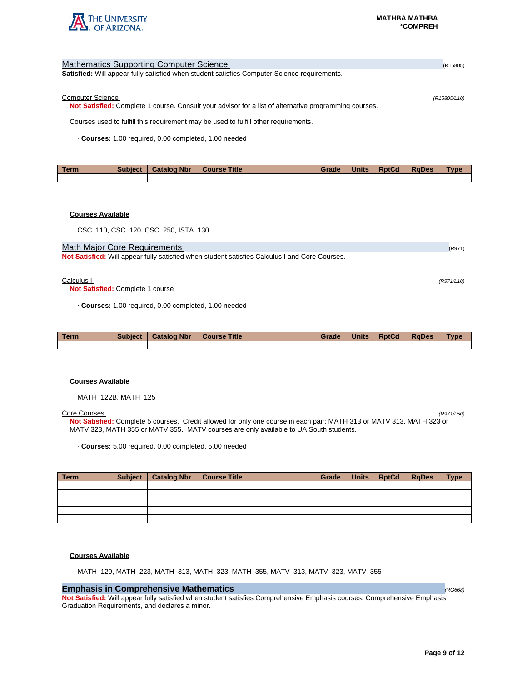

| <b>Mathematics Supporting Computer Science</b>                                                        | (R15805)     |
|-------------------------------------------------------------------------------------------------------|--------------|
| <b>Satisfied:</b> Will appear fully satisfied when student satisfies Computer Science requirements.   |              |
|                                                                                                       |              |
| <b>Computer Science</b>                                                                               | (R15805/L10) |
| Not Satisfied: Complete 1 course. Consult your advisor for a list of alternative programming courses. |              |
| Courses used to fulfill this requirement may be used to fulfill other requirements.                   |              |
| Courses: 1.00 required, 0.00 completed, 1.00 needed                                                   |              |

| Term | <b>Subject</b> | <b>Catalog Nbr</b> | <b>Course Title</b> | Grade | <b>Units</b> | <b>RptCd</b> | <b>RaDes</b> | <b>Vpe</b> |
|------|----------------|--------------------|---------------------|-------|--------------|--------------|--------------|------------|
|      |                |                    |                     |       |              |              |              |            |

## **Courses Available**

CSC 110, CSC 120, CSC 250, ISTA 130

### Math Major Core Requirements (R971) 2008 12:00 12:00 12:00 12:00 12:00 12:00 12:00 12:00 12:00 12:00 12:00 12:00 12:00 12:00 12:00 12:00 12:00 12:00 12:00 12:00 12:00 12:00 12:00 12:00 12:00 12:00 12:00 12:00 12:00 12:00 1

**Not Satisfied:** Will appear fully satisfied when student satisfies Calculus I and Core Courses.

#### $Calculus 1$  (R971/L10)

**Not Satisfied:** Complete 1 course

· **Courses:** 1.00 required, 0.00 completed, 1.00 needed

| <b>Term</b> | <b>Subject</b> | <b>Catalog Nbr</b> | <b>Course Title</b> | Grade | <b>Units</b> | <b>RptCd</b> | <b>RaDes</b> | <b>Type</b> |
|-------------|----------------|--------------------|---------------------|-------|--------------|--------------|--------------|-------------|
|             |                |                    |                     |       |              |              |              |             |

### **Courses Available**

MATH 122B, MATH 125

### Core Courses (R971/L50)

**Not Satisfied:** Complete 5 courses. Credit allowed for only one course in each pair: MATH 313 or MATV 313, MATH 323 or MATV 323, MATH 355 or MATV 355. MATV courses are only available to UA South students.

· **Courses:** 5.00 required, 0.00 completed, 5.00 needed

| Term | Subject   Catalog Nbr | Course Title | Grade | Units   RptCd | $ $ RqDes | <b>Type</b> |
|------|-----------------------|--------------|-------|---------------|-----------|-------------|
|      |                       |              |       |               |           |             |
|      |                       |              |       |               |           |             |
|      |                       |              |       |               |           |             |
|      |                       |              |       |               |           |             |
|      |                       |              |       |               |           |             |

### **Courses Available**

MATH 129, MATH 223, MATH 313, MATH 323, MATH 355, MATV 313, MATV 323, MATV 355

## **Emphasis in Comprehensive Mathematics** (RG668) **(RG668)** (RG668)

**Not Satisfied:** Will appear fully satisfied when student satisfies Comprehensive Emphasis courses, Comprehensive Emphasis Graduation Requirements, and declares a minor.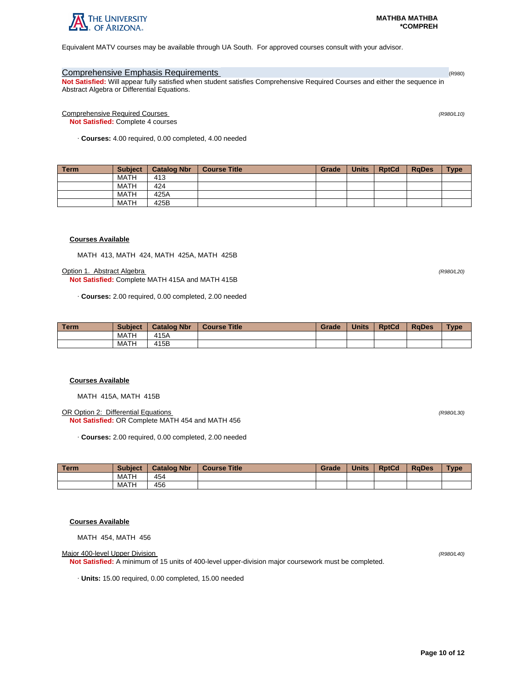

Equivalent MATV courses may be available through UA South. For approved courses consult with your advisor.

## Comprehensive Emphasis Requirements (R980) and Comprehensive Comprehensive Crossov

**Not Satisfied:** Will appear fully satisfied when student satisfies Comprehensive Required Courses and either the sequence in Abstract Algebra or Differential Equations.

Comprehensive Required Courses (R980/L10)

**Not Satisfied:** Complete 4 courses

· **Courses:** 4.00 required, 0.00 completed, 4.00 needed

| <b>Term</b> | <b>Subject</b> | <b>Catalog Nbr</b> | <b>Course Title</b> | Grade | <b>Units</b> | <b>RptCd</b> | <b>RaDes</b> | <b>Type</b> |
|-------------|----------------|--------------------|---------------------|-------|--------------|--------------|--------------|-------------|
|             | <b>MATH</b>    | 413                |                     |       |              |              |              |             |
|             | <b>MATH</b>    | 424                |                     |       |              |              |              |             |
|             | <b>MATH</b>    | 425A               |                     |       |              |              |              |             |
|             | <b>MATH</b>    | 425B               |                     |       |              |              |              |             |

### **Courses Available**

MATH 413, MATH 424, MATH 425A, MATH 425B

**Option 1. Abstract Algebra (R980/L20)** (R980/L20)

**Not Satisfied:** Complete MATH 415A and MATH 415B

· **Courses:** 2.00 required, 0.00 completed, 2.00 needed

| l Term | <b>Subject</b> | <b>Catalog Nbr</b> | <b>Course Title</b> | Grade | <b>Units</b> | <b>RptCd</b> | <b>RaDes</b> | Type |
|--------|----------------|--------------------|---------------------|-------|--------------|--------------|--------------|------|
|        | MATH           | 415A               |                     |       |              |              |              |      |
|        | <b>MATH</b>    | 415B               |                     |       |              |              |              |      |

### **Courses Available**

MATH 415A, MATH 415B

OR Option 2: Differential Equations (R980/L30) **Not Satisfied:** OR Complete MATH 454 and MATH 456

· **Courses:** 2.00 required, 0.00 completed, 2.00 needed

| Term | <b>Subject</b> | <b>Catalog Nbr</b> | <b>Course Title</b> | Grade | <b>Units</b> | <b>RptCd</b> | <b>RaDes</b> | Type |
|------|----------------|--------------------|---------------------|-------|--------------|--------------|--------------|------|
|      | MATH           | 454                |                     |       |              |              |              |      |
|      | <b>MATH</b>    | 456                |                     |       |              |              |              |      |

## **Courses Available**

MATH 454, MATH 456

Major 400-level Upper Division (R980/L40)

**Not Satisfied:** A minimum of 15 units of 400-level upper-division major coursework must be completed.

· **Units:** 15.00 required, 0.00 completed, 15.00 needed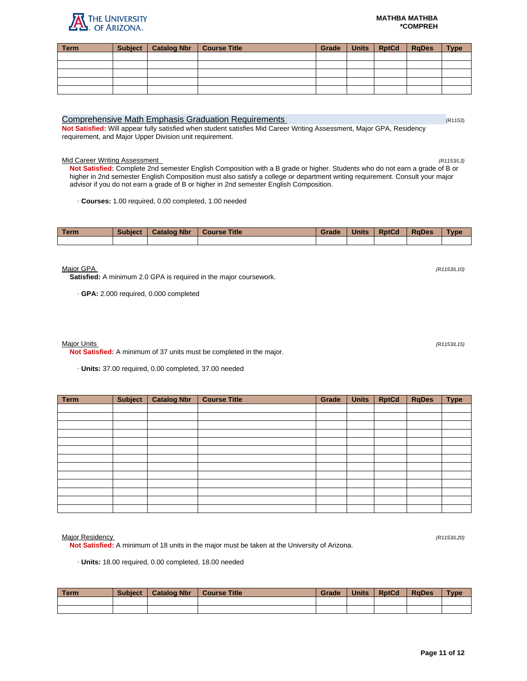#### **MATHBA MATHBA \*COMPREH**

| <b>Term</b> | Subject   Catalog Nbr   Course Title | Grade | Units   RptCd   RqDes | <b>Type</b> |
|-------------|--------------------------------------|-------|-----------------------|-------------|
|             |                                      |       |                       |             |
|             |                                      |       |                       |             |
|             |                                      |       |                       |             |
|             |                                      |       |                       |             |
|             |                                      |       |                       |             |
|             |                                      |       |                       |             |

## Comprehensive Math Emphasis Graduation Requirements (R1153) (R1153)

**Not Satisfied:** Will appear fully satisfied when student satisfies Mid Career Writing Assessment, Major GPA, Residency requirement, and Major Upper Division unit requirement.

### Mid Career Writing Assessment (R1153/L3)

**Not Satisfied:** Complete 2nd semester English Composition with a B grade or higher. Students who do not earn a grade of B or higher in 2nd semester English Composition must also satisfy a college or department writing requirement. Consult your major advisor if you do not earn a grade of B or higher in 2nd semester English Composition.

· **Courses:** 1.00 required, 0.00 completed, 1.00 needed

| Term | <b>Subject</b> | <b>Catalog Nbr</b> | <b>Course Title</b> | Grade | <b>Units</b> | <b>RptCd</b> | <b>RaDes</b> | <b>Type</b> |
|------|----------------|--------------------|---------------------|-------|--------------|--------------|--------------|-------------|
|      |                |                    |                     |       |              |              |              |             |

 $M$ ajor GPA (R1153/L10) (R1153/L10)

**Satisfied:** A minimum 2.0 GPA is required in the major coursework.

· **GPA:** 2.000 required, 0.000 completed

### Major Units (R1153/L15)

**Not Satisfied:** A minimum of 37 units must be completed in the major.

· **Units:** 37.00 required, 0.00 completed, 37.00 needed

| <b>Term</b> | <b>Subject</b> | <b>Catalog Nbr</b> | <b>Course Title</b> | Grade | <b>Units</b> | <b>RptCd</b> | <b>RqDes</b> | <b>Type</b> |
|-------------|----------------|--------------------|---------------------|-------|--------------|--------------|--------------|-------------|
|             |                |                    |                     |       |              |              |              |             |
|             |                |                    |                     |       |              |              |              |             |
|             |                |                    |                     |       |              |              |              |             |
|             |                |                    |                     |       |              |              |              |             |
|             |                |                    |                     |       |              |              |              |             |
|             |                |                    |                     |       |              |              |              |             |
|             |                |                    |                     |       |              |              |              |             |
|             |                |                    |                     |       |              |              |              |             |
|             |                |                    |                     |       |              |              |              |             |
|             |                |                    |                     |       |              |              |              |             |
|             |                |                    |                     |       |              |              |              |             |
|             |                |                    |                     |       |              |              |              |             |
|             |                |                    |                     |       |              |              |              |             |
|             |                |                    |                     |       |              |              |              |             |

Major Residency (R1153/L20)

**Not Satisfied:** A minimum of 18 units in the major must be taken at the University of Arizona.

· **Units:** 18.00 required, 0.00 completed, 18.00 needed

| l Term | <b>Subject</b> | <b>Catalog Nbr</b> | <b>Course Title</b> | Grade | <b>Units</b> | <b>RptCd</b> | <b>RaDes</b> | <b>Type</b> |
|--------|----------------|--------------------|---------------------|-------|--------------|--------------|--------------|-------------|
|        |                |                    |                     |       |              |              |              |             |
|        |                |                    |                     |       |              |              |              |             |